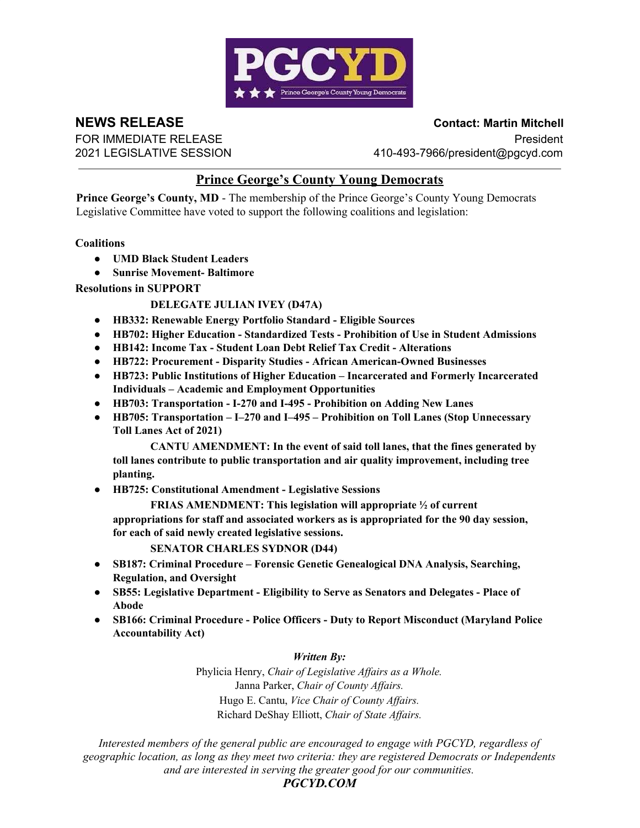

**NEWS RELEASE Contact: Martin Mitchell**

FOR IMMEDIATE RELEASE **President** 2021 LEGISLATIVE SESSION 410-493-7966/president@pgcyd.com

# **Prince George's County Young Democrats**

**Prince George's County, MD** - The membership of the Prince George's County Young Democrats Legislative Committee have voted to support the following coalitions and legislation:

## **Coalitions**

- **UMD Black Student Leaders**
- **● Sunrise Movement- Baltimore**

## **Resolutions in SUPPORT**

## **DELEGATE JULIAN IVEY (D47A)**

- **HB332: Renewable Energy Portfolio Standard Eligible Sources**
- **● HB702: Higher Education Standardized Tests Prohibition of Use in Student Admissions**
- **● HB142: Income Tax Student Loan Debt Relief Tax Credit Alterations**
- **● HB722: Procurement Disparity Studies African American-Owned Businesses**
- **HB723: Public Institutions of Higher Education Incarcerated and Formerly Incarcerated Individuals – Academic and Employment Opportunities**
- **HB703: Transportation I-270 and I-495 Prohibition on Adding New Lanes**
- **HB705: Transportation I–270 and I–495 Prohibition on Toll Lanes (Stop Unnecessary Toll Lanes Act of 2021)**

**CANTU AMENDMENT: In the event of said toll lanes, that the fines generated by toll lanes contribute to public transportation and air quality improvement, including tree planting.**

● **HB725: Constitutional Amendment - Legislative Sessions**

**FRIAS AMENDMENT: This legislation will appropriate ½ of current appropriations for staff and associated workers as is appropriated for the 90 day session, for each of said newly created legislative sessions.**

### **SENATOR CHARLES SYDNOR (D44)**

- **SB187: Criminal Procedure Forensic Genetic Genealogical DNA Analysis, Searching, Regulation, and Oversight**
- **SB55: Legislative Department Eligibility to Serve as Senators and Delegates Place of Abode**
- **SB166: Criminal Procedure Police Officers Duty to Report Misconduct (Maryland Police Accountability Act)**

## *Written By:*

Phylicia Henry, *Chair of Legislative Affairs as a Whole.* Janna Parker, *Chair of County Affairs.* Hugo E. Cantu, *Vice Chair of County Affairs.* Richard DeShay Elliott, *Chair of State Affairs.*

*Interested members of the general public are encouraged to engage with PGCYD, regardless of geographic location, as long as they meet two criteria: they are registered Democrats or Independents and are interested in serving the greater good for our communities.*

*PGCYD.COM*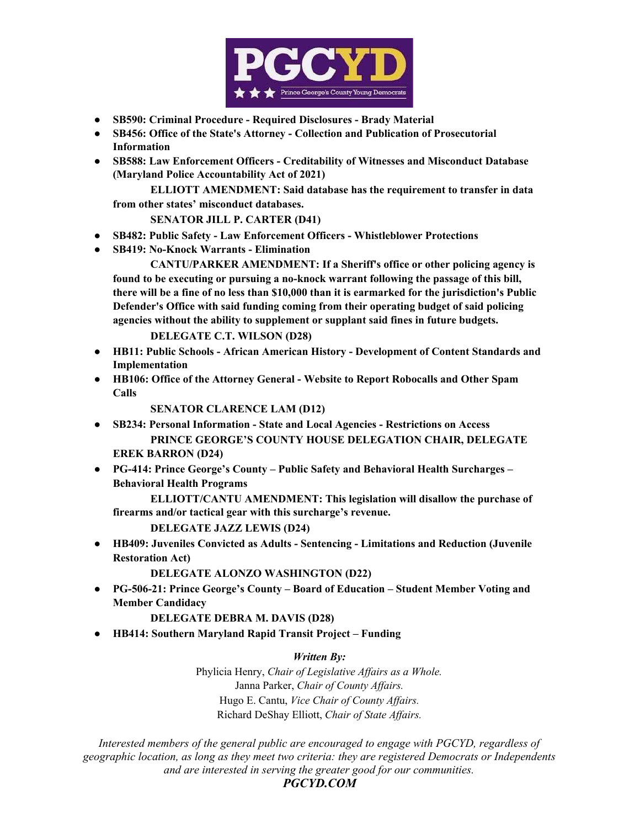

- **SB590: Criminal Procedure Required Disclosures Brady Material**
- **SB456: Office of the State's Attorney Collection and Publication of Prosecutorial Information**
- **SB588: Law Enforcement Officers Creditability of Witnesses and Misconduct Database (Maryland Police Accountability Act of 2021)**

**ELLIOTT AMENDMENT: Said database has the requirement to transfer in data from other states' misconduct databases.**

**SENATOR JILL P. CARTER (D41)**

- **SB482: Public Safety Law Enforcement Officers Whistleblower Protections**
- **● SB419: No-Knock Warrants Elimination**

**CANTU/PARKER AMENDMENT: If a Sheriff's office or other policing agency is found to be executing or pursuing a no-knock warrant following the passage of this bill, there will be a fine of no less than \$10,000 than it is earmarked for the jurisdiction's Public Defender's Office with said funding coming from their operating budget of said policing agencies without the ability to supplement or supplant said fines in future budgets.**

**DELEGATE C.T. WILSON (D28)**

- **HB11: Public Schools African American History Development of Content Standards and Implementation**
- **HB106: Office of the Attorney General Website to Report Robocalls and Other Spam Calls**

**SENATOR CLARENCE LAM (D12)**

- **SB234: Personal Information State and Local Agencies Restrictions on Access PRINCE GEORGE'S COUNTY HOUSE DELEGATION CHAIR, DELEGATE EREK BARRON (D24)**
- **PG-414: Prince George's County Public Safety and Behavioral Health Surcharges – Behavioral Health Programs**

**ELLIOTT/CANTU AMENDMENT: This legislation will disallow the purchase of firearms and/or tactical gear with this surcharge's revenue.**

**DELEGATE JAZZ LEWIS (D24)**

● **HB409: Juveniles Convicted as Adults - Sentencing - Limitations and Reduction (Juvenile Restoration Act)**

**DELEGATE ALONZO WASHINGTON (D22)**

● **PG-506-21: Prince George's County – Board of Education – Student Member Voting and Member Candidacy**

### **DELEGATE DEBRA M. DAVIS (D28)**

● **HB414: Southern Maryland Rapid Transit Project – Funding**

*Written By:*

Phylicia Henry, *Chair of Legislative Affairs as a Whole.* Janna Parker, *Chair of County Affairs.* Hugo E. Cantu, *Vice Chair of County Affairs.* Richard DeShay Elliott, *Chair of State Affairs.*

*Interested members of the general public are encouraged to engage with PGCYD, regardless of geographic location, as long as they meet two criteria: they are registered Democrats or Independents and are interested in serving the greater good for our communities.*

*PGCYD.COM*